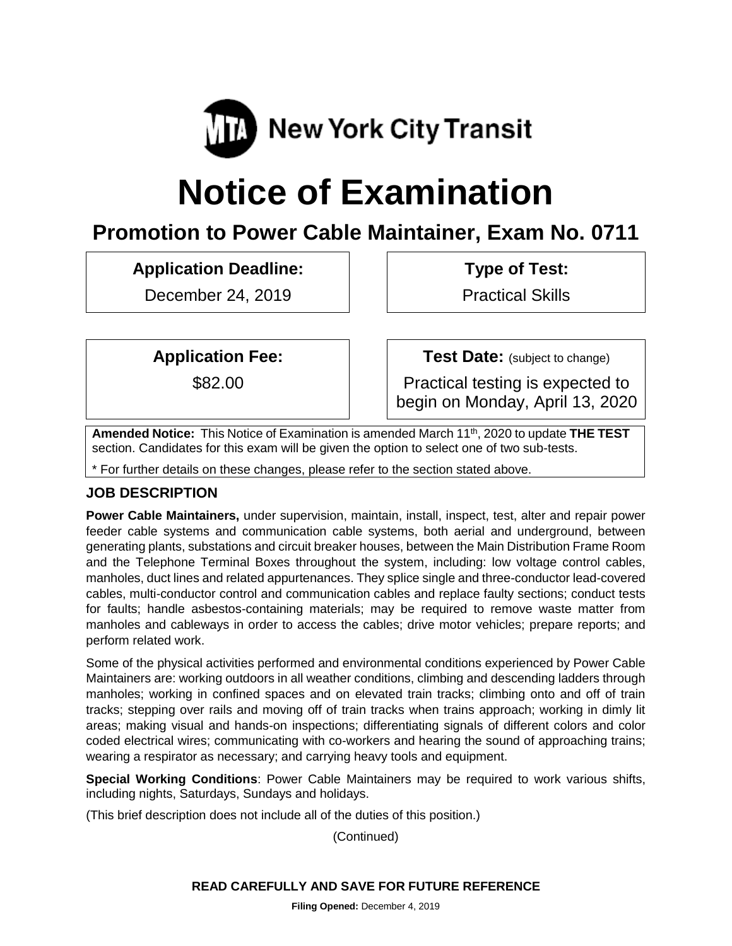

# **Notice of Examination**

# **Promotion to Power Cable Maintainer, Exam No. 0711**

# **Application Deadline:**

December 24, 2019

**Type of Test:** 

Practical Skills

**Application Fee:**

\$82.00

**Test Date:** (subject to change)

Practical testing is expected to begin on Monday, April 13, 2020

**Amended Notice:** This Notice of Examination is amended March 11th, 2020 to update **THE TEST** section. Candidates for this exam will be given the option to select one of two sub-tests.

\* For further details on these changes, please refer to the section stated above.

# **JOB DESCRIPTION**

**Power Cable Maintainers,** under supervision, maintain, install, inspect, test, alter and repair power feeder cable systems and communication cable systems, both aerial and underground, between generating plants, substations and circuit breaker houses, between the Main Distribution Frame Room and the Telephone Terminal Boxes throughout the system, including: low voltage control cables, manholes, duct lines and related appurtenances. They splice single and three-conductor lead-covered cables, multi-conductor control and communication cables and replace faulty sections; conduct tests for faults; handle asbestos-containing materials; may be required to remove waste matter from manholes and cableways in order to access the cables; drive motor vehicles; prepare reports; and perform related work.

Some of the physical activities performed and environmental conditions experienced by Power Cable Maintainers are: working outdoors in all weather conditions, climbing and descending ladders through manholes; working in confined spaces and on elevated train tracks; climbing onto and off of train tracks; stepping over rails and moving off of train tracks when trains approach; working in dimly lit areas; making visual and hands-on inspections; differentiating signals of different colors and color coded electrical wires; communicating with co-workers and hearing the sound of approaching trains; wearing a respirator as necessary; and carrying heavy tools and equipment.

**Special Working Conditions**: Power Cable Maintainers may be required to work various shifts, including nights, Saturdays, Sundays and holidays.

(This brief description does not include all of the duties of this position.)

(Continued)

# **READ CAREFULLY AND SAVE FOR FUTURE REFERENCE**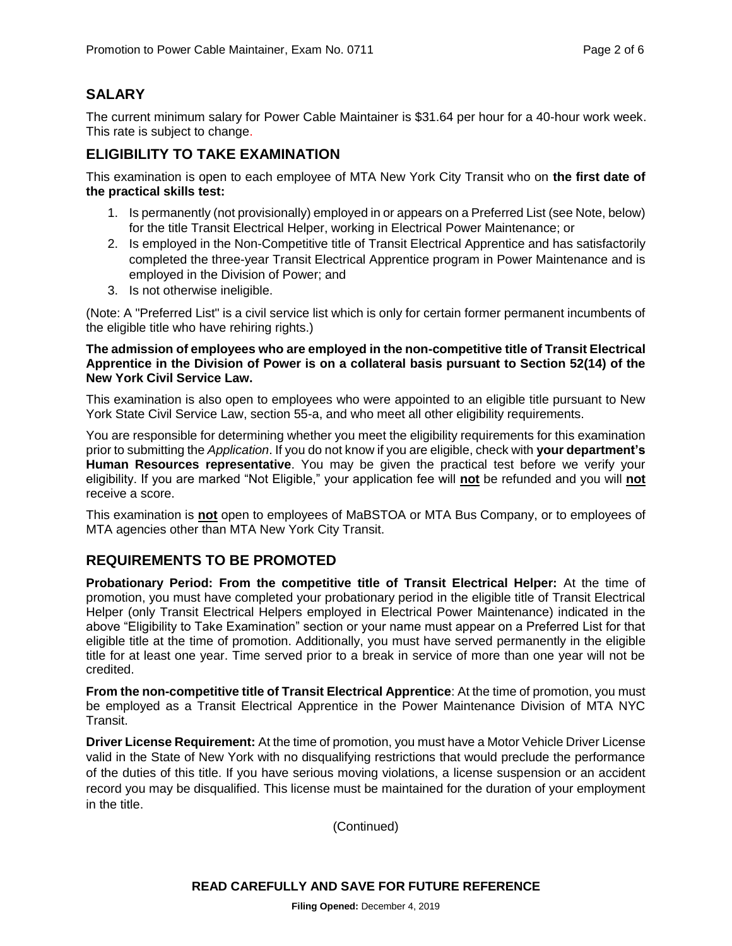# **SALARY**

The current minimum salary for Power Cable Maintainer is \$31.64 per hour for a 40-hour work week. This rate is subject to change.

## **ELIGIBILITY TO TAKE EXAMINATION**

This examination is open to each employee of MTA New York City Transit who on **the first date of the practical skills test:**

- 1. Is permanently (not provisionally) employed in or appears on a Preferred List (see Note, below) for the title Transit Electrical Helper, working in Electrical Power Maintenance; or
- 2. Is employed in the Non-Competitive title of Transit Electrical Apprentice and has satisfactorily completed the three-year Transit Electrical Apprentice program in Power Maintenance and is employed in the Division of Power; and
- 3. Is not otherwise ineligible.

(Note: A "Preferred List" is a civil service list which is only for certain former permanent incumbents of the eligible title who have rehiring rights.)

**The admission of employees who are employed in the non-competitive title of Transit Electrical Apprentice in the Division of Power is on a collateral basis pursuant to Section 52(14) of the New York Civil Service Law.**

This examination is also open to employees who were appointed to an eligible title pursuant to New York State Civil Service Law, section 55-a, and who meet all other eligibility requirements.

You are responsible for determining whether you meet the eligibility requirements for this examination prior to submitting the *Application*. If you do not know if you are eligible, check with **your department's Human Resources representative**. You may be given the practical test before we verify your eligibility. If you are marked "Not Eligible," your application fee will **not** be refunded and you will **not** receive a score.

This examination is **not** open to employees of MaBSTOA or MTA Bus Company, or to employees of MTA agencies other than MTA New York City Transit.

# **REQUIREMENTS TO BE PROMOTED**

**Probationary Period: From the competitive title of Transit Electrical Helper:** At the time of promotion, you must have completed your probationary period in the eligible title of Transit Electrical Helper (only Transit Electrical Helpers employed in Electrical Power Maintenance) indicated in the above "Eligibility to Take Examination" section or your name must appear on a Preferred List for that eligible title at the time of promotion. Additionally, you must have served permanently in the eligible title for at least one year. Time served prior to a break in service of more than one year will not be credited.

**From the non-competitive title of Transit Electrical Apprentice**: At the time of promotion, you must be employed as a Transit Electrical Apprentice in the Power Maintenance Division of MTA NYC Transit.

**Driver License Requirement:** At the time of promotion, you must have a Motor Vehicle Driver License valid in the State of New York with no disqualifying restrictions that would preclude the performance of the duties of this title. If you have serious moving violations, a license suspension or an accident record you may be disqualified. This license must be maintained for the duration of your employment in the title.

(Continued)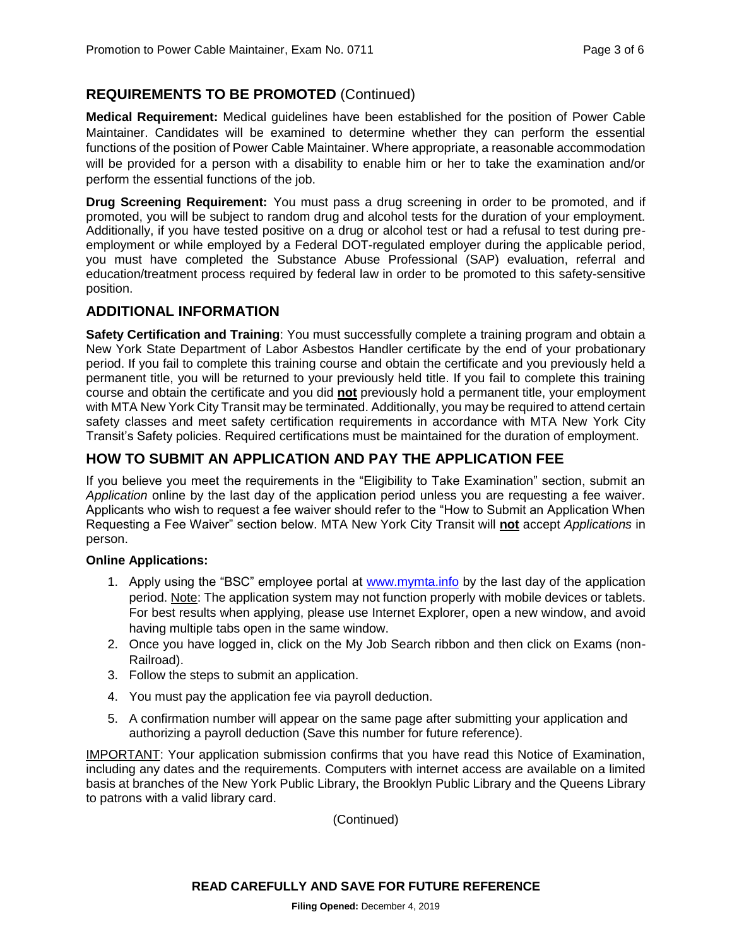# **REQUIREMENTS TO BE PROMOTED** (Continued)

**Medical Requirement:** Medical guidelines have been established for the position of Power Cable Maintainer. Candidates will be examined to determine whether they can perform the essential functions of the position of Power Cable Maintainer. Where appropriate, a reasonable accommodation will be provided for a person with a disability to enable him or her to take the examination and/or perform the essential functions of the job.

**Drug Screening Requirement:** You must pass a drug screening in order to be promoted, and if promoted, you will be subject to random drug and alcohol tests for the duration of your employment. Additionally, if you have tested positive on a drug or alcohol test or had a refusal to test during preemployment or while employed by a Federal DOT-regulated employer during the applicable period, you must have completed the Substance Abuse Professional (SAP) evaluation, referral and education/treatment process required by federal law in order to be promoted to this safety-sensitive position.

#### **ADDITIONAL INFORMATION**

**Safety Certification and Training**: You must successfully complete a training program and obtain a New York State Department of Labor Asbestos Handler certificate by the end of your probationary period. If you fail to complete this training course and obtain the certificate and you previously held a permanent title, you will be returned to your previously held title. If you fail to complete this training course and obtain the certificate and you did **not** previously hold a permanent title, your employment with MTA New York City Transit may be terminated. Additionally, you may be required to attend certain safety classes and meet safety certification requirements in accordance with MTA New York City Transit's Safety policies. Required certifications must be maintained for the duration of employment.

# **HOW TO SUBMIT AN APPLICATION AND PAY THE APPLICATION FEE**

If you believe you meet the requirements in the "Eligibility to Take Examination" section, submit an *Application* online by the last day of the application period unless you are requesting a fee waiver. Applicants who wish to request a fee waiver should refer to the "How to Submit an Application When Requesting a Fee Waiver" section below. MTA New York City Transit will **not** accept *Applications* in person.

#### **Online Applications:**

- 1. Apply using the "BSC" employee portal at [www.mymta.info](http://www.mymta.info/) by the last day of the application period. Note: The application system may not function properly with mobile devices or tablets. For best results when applying, please use Internet Explorer, open a new window, and avoid having multiple tabs open in the same window.
- 2. Once you have logged in, click on the My Job Search ribbon and then click on Exams (non-Railroad).
- 3. Follow the steps to submit an application.
- 4. You must pay the application fee via payroll deduction.
- 5. A confirmation number will appear on the same page after submitting your application and authorizing a payroll deduction (Save this number for future reference).

IMPORTANT: Your application submission confirms that you have read this Notice of Examination, including any dates and the requirements. Computers with internet access are available on a limited basis at branches of the New York Public Library, the Brooklyn Public Library and the Queens Library to patrons with a valid library card.

(Continued)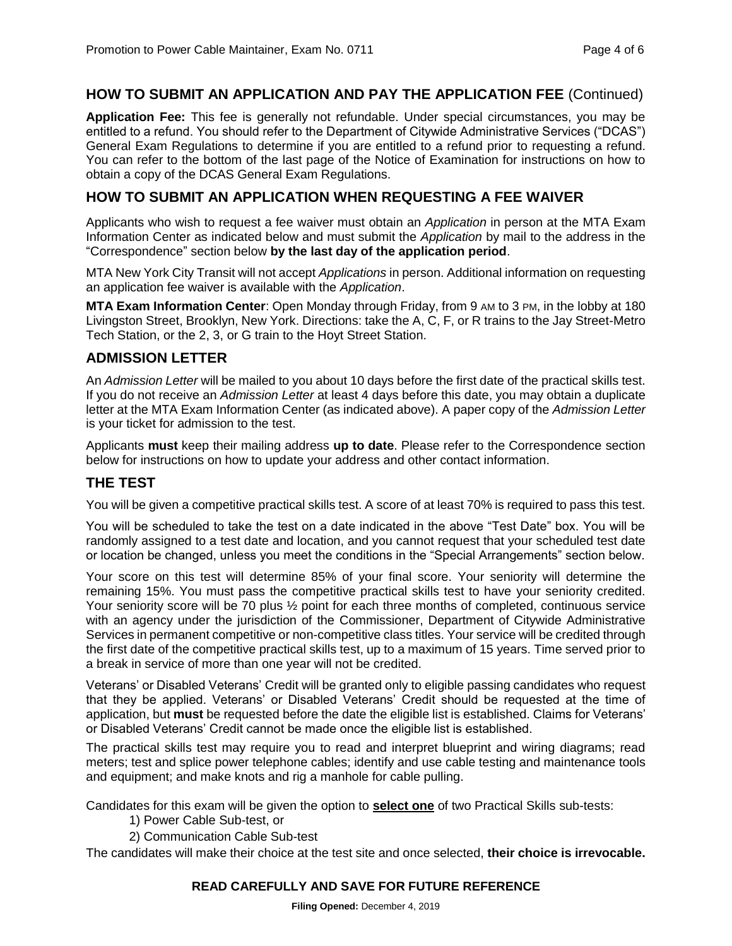#### **HOW TO SUBMIT AN APPLICATION AND PAY THE APPLICATION FEE** (Continued)

**Application Fee:** This fee is generally not refundable. Under special circumstances, you may be entitled to a refund. You should refer to the Department of Citywide Administrative Services ("DCAS") General Exam Regulations to determine if you are entitled to a refund prior to requesting a refund. You can refer to the bottom of the last page of the Notice of Examination for instructions on how to obtain a copy of the DCAS General Exam Regulations.

#### **HOW TO SUBMIT AN APPLICATION WHEN REQUESTING A FEE WAIVER**

Applicants who wish to request a fee waiver must obtain an *Application* in person at the MTA Exam Information Center as indicated below and must submit the *Application* by mail to the address in the "Correspondence" section below **by the last day of the application period**.

MTA New York City Transit will not accept *Applications* in person. Additional information on requesting an application fee waiver is available with the *Application*.

**MTA Exam Information Center**: Open Monday through Friday, from 9 AM to 3 PM, in the lobby at 180 Livingston Street, Brooklyn, New York. Directions: take the A, C, F, or R trains to the Jay Street-Metro Tech Station, or the 2, 3, or G train to the Hoyt Street Station.

#### **ADMISSION LETTER**

An *Admission Letter* will be mailed to you about 10 days before the first date of the practical skills test. If you do not receive an *Admission Letter* at least 4 days before this date, you may obtain a duplicate letter at the MTA Exam Information Center (as indicated above). A paper copy of the *Admission Letter* is your ticket for admission to the test.

Applicants **must** keep their mailing address **up to date**. Please refer to the Correspondence section below for instructions on how to update your address and other contact information.

#### **THE TEST**

You will be given a competitive practical skills test. A score of at least 70% is required to pass this test.

You will be scheduled to take the test on a date indicated in the above "Test Date" box. You will be randomly assigned to a test date and location, and you cannot request that your scheduled test date or location be changed, unless you meet the conditions in the "Special Arrangements" section below.

Your score on this test will determine 85% of your final score. Your seniority will determine the remaining 15%. You must pass the competitive practical skills test to have your seniority credited. Your seniority score will be 70 plus ½ point for each three months of completed, continuous service with an agency under the jurisdiction of the Commissioner, Department of Citywide Administrative Services in permanent competitive or non-competitive class titles. Your service will be credited through the first date of the competitive practical skills test, up to a maximum of 15 years. Time served prior to a break in service of more than one year will not be credited.

Veterans' or Disabled Veterans' Credit will be granted only to eligible passing candidates who request that they be applied. Veterans' or Disabled Veterans' Credit should be requested at the time of application, but **must** be requested before the date the eligible list is established. Claims for Veterans' or Disabled Veterans' Credit cannot be made once the eligible list is established.

The practical skills test may require you to read and interpret blueprint and wiring diagrams; read meters; test and splice power telephone cables; identify and use cable testing and maintenance tools and equipment; and make knots and rig a manhole for cable pulling.

Candidates for this exam will be given the option to **select one** of two Practical Skills sub-tests:

- 1) Power Cable Sub-test, or
- 2) Communication Cable Sub-test

The candidates will make their choice at the test site and once selected, **their choice is irrevocable.**

#### **READ CAREFULLY AND SAVE FOR FUTURE REFERENCE**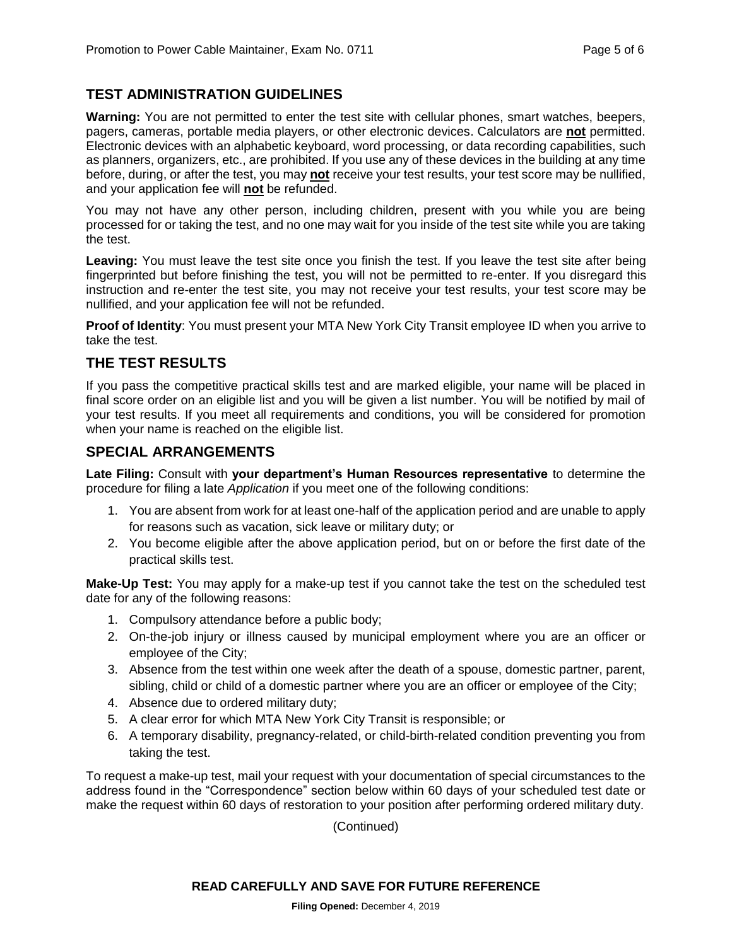# **TEST ADMINISTRATION GUIDELINES**

**Warning:** You are not permitted to enter the test site with cellular phones, smart watches, beepers, pagers, cameras, portable media players, or other electronic devices. Calculators are **not** permitted. Electronic devices with an alphabetic keyboard, word processing, or data recording capabilities, such as planners, organizers, etc., are prohibited. If you use any of these devices in the building at any time before, during, or after the test, you may **not** receive your test results, your test score may be nullified, and your application fee will **not** be refunded.

You may not have any other person, including children, present with you while you are being processed for or taking the test, and no one may wait for you inside of the test site while you are taking the test.

**Leaving:** You must leave the test site once you finish the test. If you leave the test site after being fingerprinted but before finishing the test, you will not be permitted to re-enter. If you disregard this instruction and re-enter the test site, you may not receive your test results, your test score may be nullified, and your application fee will not be refunded.

**Proof of Identity**: You must present your MTA New York City Transit employee ID when you arrive to take the test.

#### **THE TEST RESULTS**

If you pass the competitive practical skills test and are marked eligible, your name will be placed in final score order on an eligible list and you will be given a list number. You will be notified by mail of your test results. If you meet all requirements and conditions, you will be considered for promotion when your name is reached on the eligible list.

#### **SPECIAL ARRANGEMENTS**

**Late Filing:** Consult with **your department's Human Resources representative** to determine the procedure for filing a late *Application* if you meet one of the following conditions:

- 1. You are absent from work for at least one-half of the application period and are unable to apply for reasons such as vacation, sick leave or military duty; or
- 2. You become eligible after the above application period, but on or before the first date of the practical skills test.

**Make-Up Test:** You may apply for a make-up test if you cannot take the test on the scheduled test date for any of the following reasons:

- 1. Compulsory attendance before a public body;
- 2. On-the-job injury or illness caused by municipal employment where you are an officer or employee of the City;
- 3. Absence from the test within one week after the death of a spouse, domestic partner, parent, sibling, child or child of a domestic partner where you are an officer or employee of the City;
- 4. Absence due to ordered military duty;
- 5. A clear error for which MTA New York City Transit is responsible; or
- 6. A temporary disability, pregnancy-related, or child-birth-related condition preventing you from taking the test.

To request a make-up test, mail your request with your documentation of special circumstances to the address found in the "Correspondence" section below within 60 days of your scheduled test date or make the request within 60 days of restoration to your position after performing ordered military duty.

(Continued)